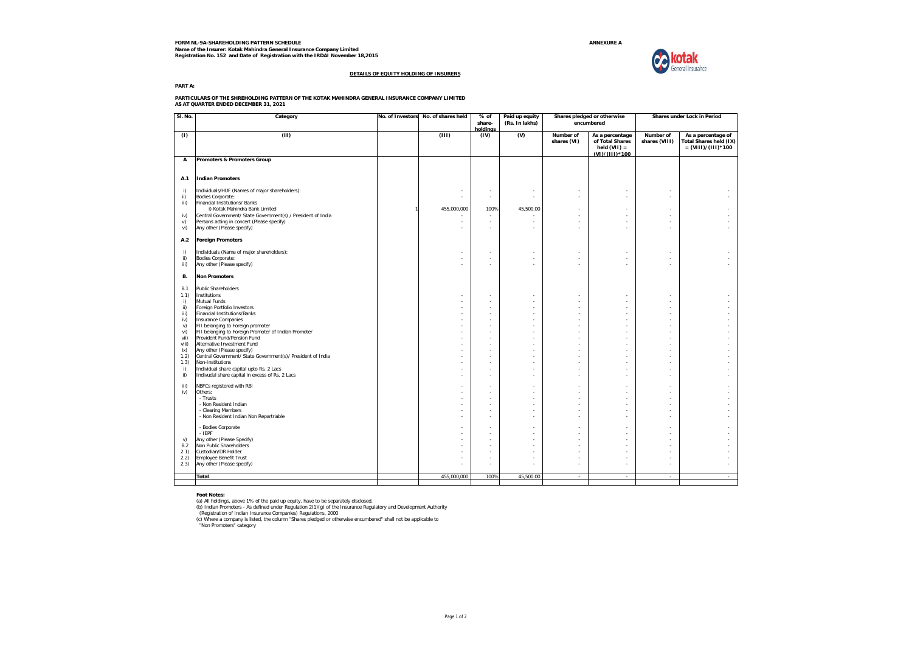**FORM NL-9A-SHAREHOLDING PATTERN SCHEDULE ANNEXURE A Name of the Insurer: Kotak Mahindra General Insurance Company Limited Registration No. 152 and Date of Registration with the IRDAI November 18,2015**



#### **DETAILS OF EQUITY HOLDING OF INSURERS**

**PART A:**

**PARTICULARS OF THE SHREHOLDING PATTERN OF THE KOTAK MAHINDRA GENERAL INSURANCE COMPANY LIMITED AS AT QUARTER ENDED DECEMBER 31, 2021**

| SI. No.          | Category                                                                                                   | No. of Investors | No. of shares held | % of<br>share-<br>holdinas                           | Paid up equity<br>(Rs. In lakhs) | Shares pledged or otherwise<br>encumbered |                                                                        | Shares under Lock in Period |                                                                             |
|------------------|------------------------------------------------------------------------------------------------------------|------------------|--------------------|------------------------------------------------------|----------------------------------|-------------------------------------------|------------------------------------------------------------------------|-----------------------------|-----------------------------------------------------------------------------|
| (1)              | (11)                                                                                                       |                  | (III)              | (IV)                                                 | (V)                              | Number of<br>shares (VI)                  | As a percentage<br>of Total Shares<br>held $(VII) =$<br>(VI)/(III)*100 | Number of<br>shares (VIII)  | As a percentage of<br><b>Total Shares held (IX)</b><br>$= (VIII)/(III)*100$ |
| А                | Promoters & Promoters Group                                                                                |                  |                    |                                                      |                                  |                                           |                                                                        |                             |                                                                             |
|                  | <b>Indian Promoters</b>                                                                                    |                  |                    |                                                      |                                  |                                           |                                                                        |                             |                                                                             |
| A.1              |                                                                                                            |                  |                    |                                                      |                                  |                                           |                                                                        |                             |                                                                             |
| i)<br>ii)        | Individuals/HUF (Names of major shareholders):<br>Bodies Corporate:                                        |                  |                    | ٠<br>٠                                               | ٠<br>$\sim$                      | $\sim$<br>$\sim$                          |                                                                        | ×                           |                                                                             |
| iii)             | Financial Institutions/ Banks<br>i) Kotak Mahindra Bank Limited                                            |                  | 455,000,000        | 100%                                                 | 45,500.00                        |                                           |                                                                        | ×,                          |                                                                             |
| iv)<br>V)        | Central Government/ State Government(s) / President of India<br>Persons acting in concert (Please specify) |                  |                    | $\overline{\phantom{a}}$<br>$\overline{\phantom{a}}$ |                                  |                                           |                                                                        | ×                           |                                                                             |
| vi)              | Any other (Please specify)                                                                                 |                  |                    |                                                      |                                  |                                           |                                                                        |                             |                                                                             |
| A.2              | <b>Foreign Promoters</b>                                                                                   |                  |                    |                                                      |                                  |                                           |                                                                        |                             |                                                                             |
| i)               | Individuals (Name of major shareholders):                                                                  |                  |                    |                                                      |                                  |                                           |                                                                        | ٠                           |                                                                             |
| ii)<br>iii)      | Bodies Corporate:<br>Any other (Please specify)                                                            |                  | $\sim$             | $\overline{\phantom{a}}$                             | ×.                               | $\sim$                                    | ٠                                                                      | ×                           |                                                                             |
| В.               | <b>Non Promoters</b>                                                                                       |                  |                    |                                                      |                                  |                                           |                                                                        |                             |                                                                             |
| <b>B.1</b>       | <b>Public Shareholders</b>                                                                                 |                  |                    |                                                      |                                  |                                           |                                                                        |                             |                                                                             |
| 1.1)<br>i)       | Institutions<br>Mutual Funds                                                                               |                  |                    | $\overline{\phantom{a}}$                             | $\sim$                           | $\sim$                                    |                                                                        | ٠<br>×                      |                                                                             |
| ii)<br>iii)      | Foreign Portfolio Investors<br><b>Financial Institutions/Banks</b>                                         |                  |                    |                                                      |                                  |                                           |                                                                        |                             |                                                                             |
| iv)<br>v)        | <b>Insurance Companies</b><br>FII belonging to Foreign promoter                                            |                  |                    |                                                      |                                  |                                           |                                                                        |                             |                                                                             |
| vi)              | FII belonging to Foreign Promoter of Indian Promoter                                                       |                  |                    |                                                      |                                  |                                           |                                                                        |                             |                                                                             |
| vii)<br>viii)    | Provident Fund/Pension Fund<br>Alternative Investment Fund                                                 |                  |                    |                                                      | ×                                |                                           | ÷                                                                      | ×<br>÷                      |                                                                             |
| ix)<br>1.2)      | Any other (Please specify)<br>Central Government/ State Government(s)/ President of India                  |                  |                    |                                                      |                                  |                                           |                                                                        |                             |                                                                             |
| 1.3)<br>i)       | Non-Institutions<br>Individual share capital upto Rs. 2 Lacs                                               |                  |                    |                                                      |                                  |                                           |                                                                        | ٠                           |                                                                             |
| ii)              | Indivudal share capital in excess of Rs. 2 Lacs                                                            |                  |                    |                                                      | $\sim$                           |                                           |                                                                        | ٠                           |                                                                             |
| iii)<br>iv)      | NBFCs registered with RBI<br>Others:                                                                       |                  |                    |                                                      |                                  |                                           |                                                                        | ٠                           |                                                                             |
|                  | - Trusts                                                                                                   |                  |                    |                                                      |                                  |                                           |                                                                        |                             |                                                                             |
|                  | - Non Resident Indian<br>- Clearing Members                                                                |                  |                    |                                                      |                                  |                                           |                                                                        |                             |                                                                             |
|                  | - Non Resident Indian Non Repartriable                                                                     |                  |                    |                                                      |                                  |                                           |                                                                        |                             |                                                                             |
|                  | - Bodies Corporate<br>$-$ IEPF                                                                             |                  |                    |                                                      |                                  |                                           |                                                                        | ×<br>÷                      |                                                                             |
| v)<br><b>B.2</b> | Any other (Please Specify)<br>Non Public Shareholders                                                      |                  |                    |                                                      |                                  |                                           |                                                                        | ÷<br>×                      |                                                                             |
| 2.1)             | Custodian/DR Holder                                                                                        |                  |                    |                                                      |                                  |                                           |                                                                        |                             |                                                                             |
| 2.2)<br>2.3)     | <b>Employee Benefit Trust</b><br>Any other (Please specify)                                                |                  |                    |                                                      |                                  |                                           |                                                                        |                             |                                                                             |
|                  | Total                                                                                                      |                  | 455,000,000        | 100%                                                 | 45,500.00                        | i.                                        |                                                                        | ÷.                          |                                                                             |
|                  |                                                                                                            |                  |                    |                                                      |                                  |                                           |                                                                        |                             |                                                                             |

Foot Notes:<br>(a) All holdings, above 1% of the paid up equity, have to be separately disclosed.<br>(b) Indian Promoters - As defined under Regulation 2(1)(g) of the Insurance Regulatory and Development Authority<br>(Registration